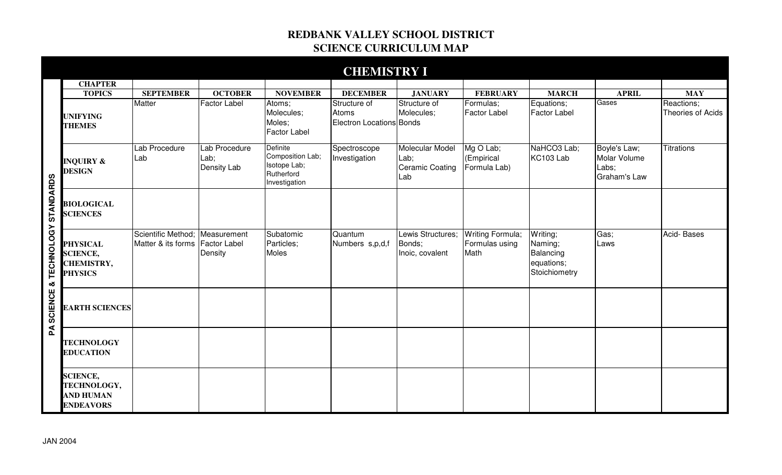## **REDBANK VALLEY SCHOOL DISTRICT SCIENCE CURRICULUM MAP**

|                                |                                                                           |                                                                   |                                             |                                                                             | <b>CHEMISTRY I</b>                                |                                                          |                                            |                                                                 |                                                       |                                 |
|--------------------------------|---------------------------------------------------------------------------|-------------------------------------------------------------------|---------------------------------------------|-----------------------------------------------------------------------------|---------------------------------------------------|----------------------------------------------------------|--------------------------------------------|-----------------------------------------------------------------|-------------------------------------------------------|---------------------------------|
|                                | <b>CHAPTER</b>                                                            |                                                                   |                                             |                                                                             |                                                   |                                                          |                                            |                                                                 |                                                       |                                 |
|                                | <b>TOPICS</b>                                                             | <b>SEPTEMBER</b>                                                  | <b>OCTOBER</b>                              | <b>NOVEMBER</b>                                                             | <b>DECEMBER</b>                                   | <b>JANUARY</b>                                           | <b>FEBRUARY</b>                            | <b>MARCH</b>                                                    | <b>APRIL</b>                                          | <b>MAY</b>                      |
| SCIENCE & TECHNOLOGY STANDARDS | <b>UNIFYING</b><br><b>THEMES</b>                                          | Matter                                                            | <b>Factor Label</b>                         | Atoms;<br>Molecules;<br>Moles;<br><b>Factor Label</b>                       | Structure of<br>Atoms<br>Electron Locations Bonds | Structure of<br>Molecules;                               | Formulas;<br><b>Factor Label</b>           | Equations;<br><b>Factor Label</b>                               | Gases                                                 | Reactions;<br>Theories of Acids |
|                                | <b>INQUIRY &amp;</b><br><b>DESIGN</b>                                     | Lab Procedure<br>Lab                                              | Lab Procedure<br>Lab;<br><b>Density Lab</b> | Definite<br>Composition Lab;<br>Isotope Lab;<br>Rutherford<br>Investigation | Spectroscope<br>Investigation                     | Molecular Model<br>Lab;<br><b>Ceramic Coating</b><br>Lab | Mg O Lab;<br>(Empirical<br>Formula Lab)    | NaHCO3 Lab;<br>KC103 Lab                                        | Boyle's Law;<br>Molar Volume<br>Labs;<br>Graham's Law | <b>Titrations</b>               |
|                                | <b>BIOLOGICAL</b><br><b>SCIENCES</b>                                      |                                                                   |                                             |                                                                             |                                                   |                                                          |                                            |                                                                 |                                                       |                                 |
|                                | <b>PHYSICAL</b><br><b>SCIENCE,</b><br><b>CHEMISTRY,</b><br><b>PHYSICS</b> | Scientific Method; Measurement<br>Matter & its forms Factor Label | Density                                     | Subatomic<br>Particles;<br>Moles                                            | Quantum<br>Numbers s,p,d,f                        | Lewis Structures;<br>Bonds;<br>Inoic, covalent           | Writing Formula;<br>Formulas using<br>Math | Writing;<br>Naming;<br>Balancing<br>equations;<br>Stoichiometry | Gas;<br>Laws                                          | Acid-Bases                      |
|                                | <b>EARTH SCIENCES</b>                                                     |                                                                   |                                             |                                                                             |                                                   |                                                          |                                            |                                                                 |                                                       |                                 |
| $\mathbf{\underline{A}}$       | <b>TECHNOLOGY</b><br><b>EDUCATION</b>                                     |                                                                   |                                             |                                                                             |                                                   |                                                          |                                            |                                                                 |                                                       |                                 |
|                                | <b>SCIENCE,</b><br>TECHNOLOGY,<br><b>AND HUMAN</b><br><b>ENDEAVORS</b>    |                                                                   |                                             |                                                                             |                                                   |                                                          |                                            |                                                                 |                                                       |                                 |